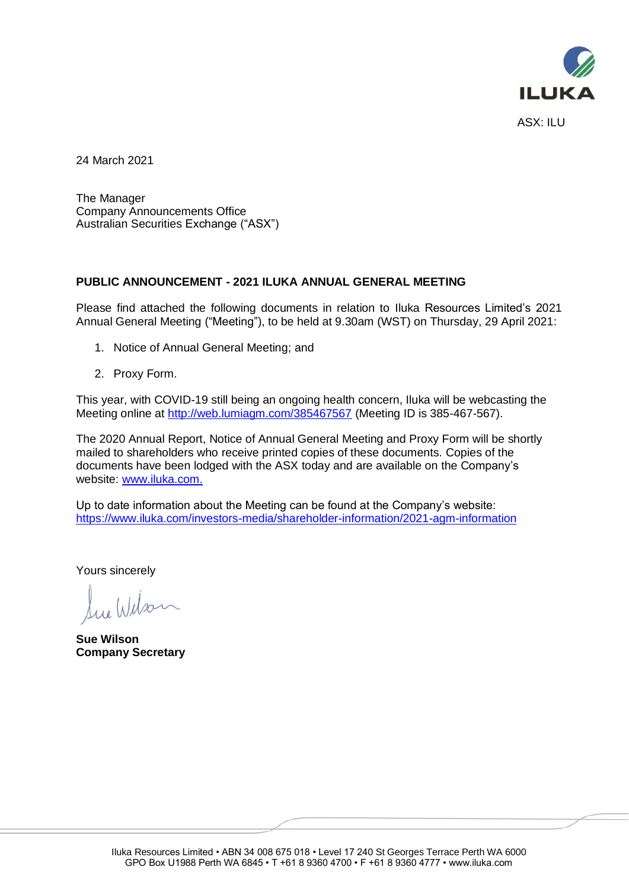

24 March 2021

The Manager Company Announcements Office Australian Securities Exchange ("ASX")

## **PUBLIC ANNOUNCEMENT - 2021 ILUKA ANNUAL GENERAL MEETING**

Please find attached the following documents in relation to Iluka Resources Limited's 2021 Annual General Meeting ("Meeting"), to be held at 9.30am (WST) on Thursday, 29 April 2021:

- 1. Notice of Annual General Meeting; and
- 2. Proxy Form.

This year, with COVID-19 still being an ongoing health concern, Iluka will be webcasting the Meeting online at <http://web.lumiagm.com/385467567> (Meeting ID is 385-467-567).

The 2020 Annual Report, Notice of Annual General Meeting and Proxy Form will be shortly mailed to shareholders who receive printed copies of these documents. Copies of the documents have been lodged with the ASX today and are available on the Company's website: [www.iluka.com.](http://www.iluka.com/)

Up to date information about the Meeting can be found at the Company's website: <https://www.iluka.com/investors-media/shareholder-information/2021-agm-information>

Yours sincerely

lue Wilson

**Sue Wilson Company Secretary**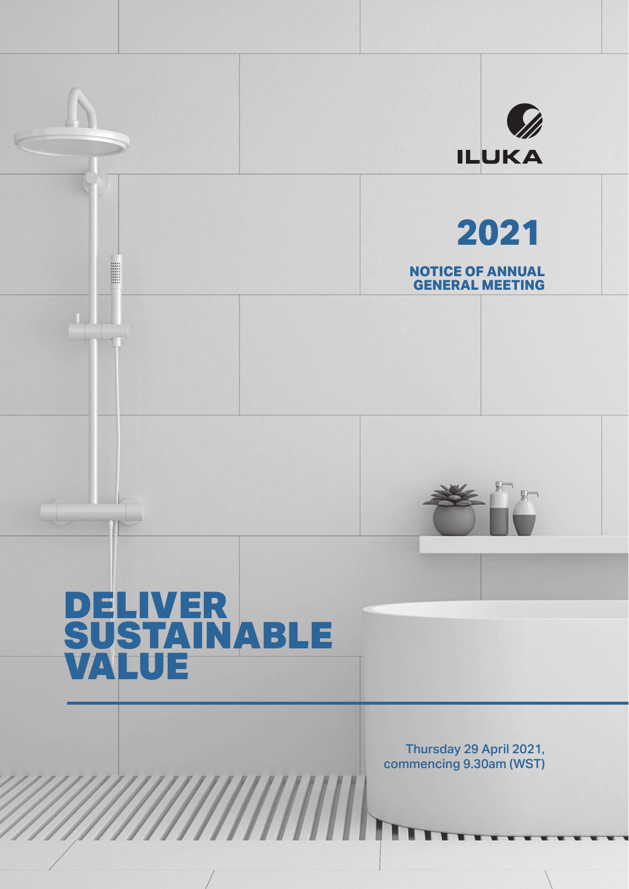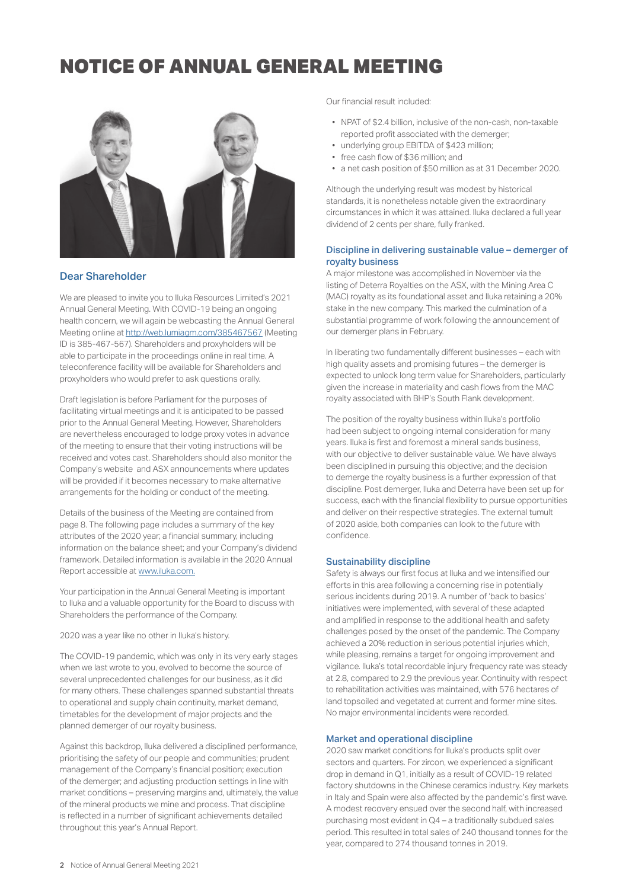

## Dear Shareholder

We are pleased to invite you to Iluka Resources Limited's 2021 Annual General Meeting. With COVID-19 being an ongoing health concern, we will again be webcasting the Annual General Meeting online at http://web.lumiagm.com/385467567 (Meeting ID is 385-467-567). Shareholders and proxyholders will be able to participate in the proceedings online in real time. A teleconference facility will be available for Shareholders and proxyholders who would prefer to ask questions orally.

Draft legislation is before Parliament for the purposes of facilitating virtual meetings and it is anticipated to be passed prior to the Annual General Meeting. However, Shareholders are nevertheless encouraged to lodge proxy votes in advance of the meeting to ensure that their voting instructions will be received and votes cast. Shareholders should also monitor the Company's website and ASX announcements where updates will be provided if it becomes necessary to make alternative arrangements for the holding or conduct of the meeting.

Details of the business of the Meeting are contained from page 8. The following page includes a summary of the key attributes of the 2020 year; a financial summary, including information on the balance sheet; and your Company's dividend framework. Detailed information is available in the 2020 Annual Report accessible at www.iluka.com.

Your participation in the Annual General Meeting is important to Iluka and a valuable opportunity for the Board to discuss with Shareholders the performance of the Company.

2020 was a year like no other in Iluka's history.

The COVID-19 pandemic, which was only in its very early stages when we last wrote to you, evolved to become the source of several unprecedented challenges for our business, as it did for many others. These challenges spanned substantial threats to operational and supply chain continuity, market demand, timetables for the development of major projects and the planned demerger of our royalty business.

Against this backdrop, Iluka delivered a disciplined performance, prioritising the safety of our people and communities; prudent management of the Company's financial position; execution of the demerger; and adjusting production settings in line with market conditions – preserving margins and, ultimately, the value of the mineral products we mine and process. That discipline is reflected in a number of significant achievements detailed throughout this year's Annual Report.

Our financial result included:

- NPAT of \$2.4 billion, inclusive of the non-cash, non-taxable reported profit associated with the demerger;
- underlying group EBITDA of \$423 million;
- free cash flow of \$36 million: and
- a net cash position of \$50 million as at 31 December 2020.

Although the underlying result was modest by historical standards, it is nonetheless notable given the extraordinary circumstances in which it was attained. Iluka declared a full year dividend of 2 cents per share, fully franked.

### Discipline in delivering sustainable value – demerger of royalty business

A major milestone was accomplished in November via the listing of Deterra Royalties on the ASX, with the Mining Area C (MAC) royalty as its foundational asset and Iluka retaining a 20% stake in the new company. This marked the culmination of a substantial programme of work following the announcement of our demerger plans in February.

In liberating two fundamentally different businesses - each with high quality assets and promising futures – the demerger is expected to unlock long term value for Shareholders, particularly given the increase in materiality and cash flows from the MAC royalty associated with BHP's South Flank development.

The position of the royalty business within Iluka's portfolio had been subject to ongoing internal consideration for many years. Iluka is first and foremost a mineral sands business, with our objective to deliver sustainable value. We have always been disciplined in pursuing this objective; and the decision to demerge the royalty business is a further expression of that discipline. Post demerger, Iluka and Deterra have been set up for success, each with the financial flexibility to pursue opportunities and deliver on their respective strategies. The external tumult of 2020 aside, both companies can look to the future with confidence

### Sustainability discipline

Safety is always our first focus at Iluka and we intensified our efforts in this area following a concerning rise in potentially serious incidents during 2019. A number of 'back to basics' initiatives were implemented, with several of these adapted and amplified in response to the additional health and safety challenges posed by the onset of the pandemic. The Company achieved a 20% reduction in serious potential injuries which, while pleasing, remains a target for ongoing improvement and vigilance. Iluka's total recordable injury frequency rate was steady at 2.8, compared to 2.9 the previous year. Continuity with respect to rehabilitation activities was maintained, with 576 hectares of land topsoiled and vegetated at current and former mine sites. No major environmental incidents were recorded.

### Market and operational discipline

2020 saw market conditions for Iluka's products split over sectors and quarters. For zircon, we experienced a significant drop in demand in Q1, initially as a result of COVID-19 related factory shutdowns in the Chinese ceramics industry. Key markets in Italy and Spain were also affected by the pandemic's first wave. A modest recovery ensued over the second half, with increased purchasing most evident in Q4 – a traditionally subdued sales period. This resulted in total sales of 240 thousand tonnes for the year, compared to 274 thousand tonnes in 2019.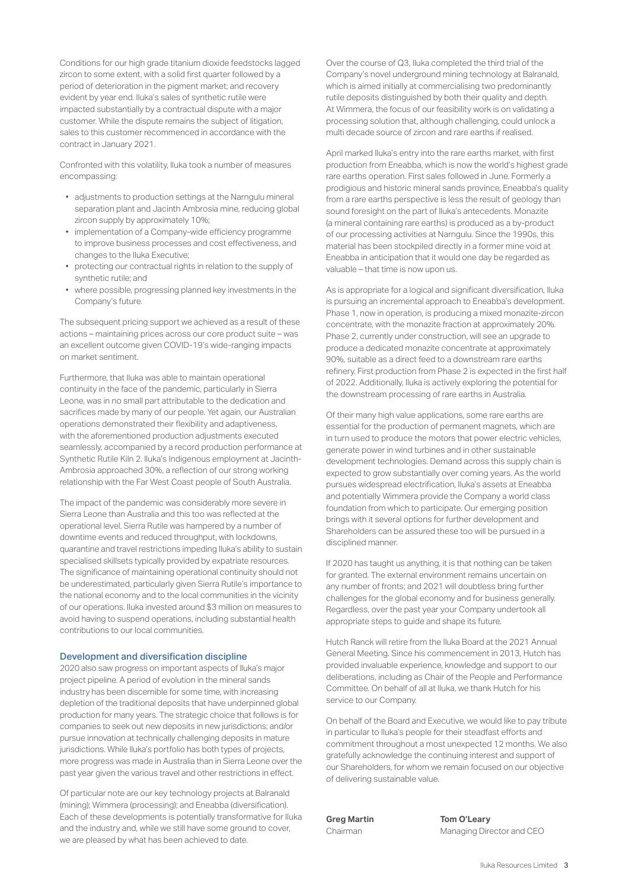Conditions for our high grade titanium dioxide feedstocks lagged zircon to some extent, with a solid first quarter followed by a period of deterioration in the pigment market; and recovery evident by year end. Iluka's sales of synthetic rutile were impacted substantially by a contractual dispute with a major customer. While the dispute remains the subject of litigation, sales to this customer recommenced in accordance with the contract in January 2021.

Confronted with this volatility, Iluka took a number of measures encompassing:

- adjustments to production settings at the Narngulu mineral separation plant and Jacinth Ambrosia mine, reducing global zircon supply by approximately 10%;
- implementation of a Company-wide efficiency programme to improve business processes and cost effectiveness, and changes to the Iluka Executive;
- protecting our contractual rights in relation to the supply of synthetic rutile; and
- where possible, progressing planned key investments in the Company's future.

The subsequent pricing support we achieved as a result of these actions – maintaining prices across our core product suite – was an excellent outcome given COVID-19's wide-ranging impacts on market sentiment.

Furthermore, that Iluka was able to maintain operational continuity in the face of the pandemic, particularly in Sierra Leone, was in no small part attributable to the dedication and sacrifices made by many of our people. Yet again, our Australian operations demonstrated their flexibility and adaptiveness, with the aforementioned production adjustments executed seamlessly, accompanied by a record production performance at Synthetic Rutile Kiln 2. Iluka's Indigenous employment at Jacinth-Ambrosia approached 30%, a reflection of our strong working relationship with the Far West Coast people of South Australia.

The impact of the pandemic was considerably more severe in Sierra Leone than Australia and this too was reflected at the operational level. Sierra Rutile was hampered by a number of downtime events and reduced throughput, with lockdowns, quarantine and travel restrictions impeding Iluka's ability to sustain specialised skillsets typically provided by expatriate resources. The significance of maintaining operational continuity should not be underestimated, particularly given Sierra Rutile's importance to the national economy and to the local communities in the vicinity of our operations. Iluka invested around \$3 million on measures to avoid having to suspend operations, including substantial health contributions to our local communities.

#### Development and diversification discipline

2020 also saw progress on important aspects of Iluka's major project pipeline. A period of evolution in the mineral sands industry has been discernible for some time, with increasing depletion of the traditional deposits that have underpinned global production for many years. The strategic choice that follows is for companies to seek out new deposits in new jurisdictions; and/or pursue innovation at technically challenging deposits in mature jurisdictions. While Iluka's portfolio has both types of projects, more progress was made in Australia than in Sierra Leone over the past year given the various travel and other restrictions in effect.

Of particular note are our key technology projects at Balranald (mining); Wimmera (processing); and Eneabba (diversification). Each of these developments is potentially transformative for Iluka and the industry and, while we still have some ground to cover, we are pleased by what has been achieved to date.

Over the course of Q3, Iluka completed the third trial of the Company's novel underground mining technology at Balranald, which is aimed initially at commercialising two predominantly rutile deposits distinguished by both their quality and depth. At Wimmera, the focus of our feasibility work is on validating a processing solution that, although challenging, could unlock a multi decade source of zircon and rare earths if realised.

April marked Iluka's entry into the rare earths market, with first production from Eneabba, which is now the world's highest grade rare earths operation. First sales followed in June. Formerly a prodigious and historic mineral sands province, Eneabba's quality from a rare earths perspective is less the result of geology than sound foresight on the part of Iluka's antecedents. Monazite (a mineral containing rare earths) is produced as a by-product of our processing activities at Narngulu. Since the 1990s, this material has been stockpiled directly in a former mine void at Eneabba in anticipation that it would one day be regarded as valuable – that time is now upon us.

As is appropriate for a logical and significant diversification, Iluka is pursuing an incremental approach to Eneabba's development. Phase 1, now in operation, is producing a mixed monazite-zircon concentrate, with the monazite fraction at approximately 20%. Phase 2, currently under construction, will see an upgrade to produce a dedicated monazite concentrate at approximately 90%, suitable as a direct feed to a downstream rare earths refinery. First production from Phase 2 is expected in the first half of 2022. Additionally, Iluka is actively exploring the potential for the downstream processing of rare earths in Australia.

Of their many high value applications, some rare earths are essential for the production of permanent magnets, which are in turn used to produce the motors that power electric vehicles, generate power in wind turbines and in other sustainable development technologies. Demand across this supply chain is expected to grow substantially over coming years. As the world pursues widespread electrification, Iluka's assets at Eneabba and potentially Wimmera provide the Company a world class foundation from which to participate. Our emerging position brings with it several options for further development and Shareholders can be assured these too will be pursued in a disciplined manner.

If 2020 has taught us anything, it is that nothing can be taken for granted. The external environment remains uncertain on any number of fronts; and 2021 will doubtless bring further challenges for the global economy and for business generally. Regardless, over the past year your Company undertook all appropriate steps to guide and shape its future.

Hutch Ranck will retire from the Iluka Board at the 2021 Annual General Meeting. Since his commencement in 2013, Hutch has provided invaluable experience, knowledge and support to our deliberations, including as Chair of the People and Performance Committee. On behalf of all at Iluka, we thank Hutch for his service to our Company.

On behalf of the Board and Executive, we would like to pay tribute in particular to Iluka's people for their steadfast efforts and commitment throughout a most unexpected 12 months. We also gratefully acknowledge the continuing interest and support of our Shareholders, for whom we remain focused on our objective of delivering sustainable value.

**Greg Martin Tom O'Leary** Chairman Managing Director and CEO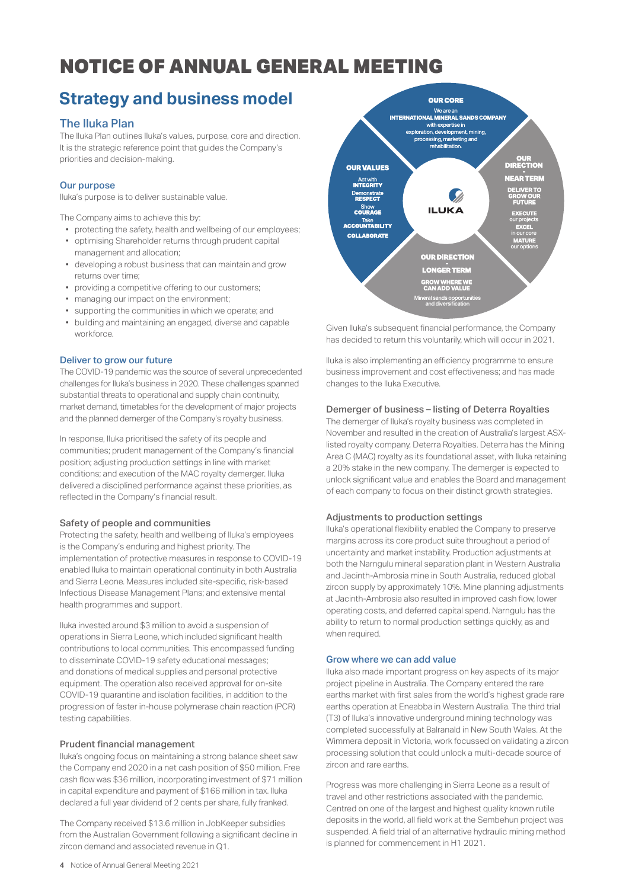## **Strategy and business model**

## The Iluka Plan

The Iluka Plan outlines Iluka's values, purpose, core and direction. It is the strategic reference point that guides the Company's priorities and decision-making.

### Our purpose

Iluka's purpose is to deliver sustainable value.

The Company aims to achieve this by:

- protecting the safety, health and wellbeing of our employees;
- optimising Shareholder returns through prudent capital management and allocation;
- developing a robust business that can maintain and grow returns over time;
- providing a competitive offering to our customers;
- managing our impact on the environment;
- supporting the communities in which we operate; and
- building and maintaining an engaged, diverse and capable workforce.

### Deliver to grow our future

The COVID-19 pandemic was the source of several unprecedented challenges for Iluka's business in 2020. These challenges spanned substantial threats to operational and supply chain continuity, market demand, timetables for the development of major projects and the planned demerger of the Company's royalty business.

In response, Iluka prioritised the safety of its people and communities; prudent management of the Company's financial position; adjusting production settings in line with market conditions; and execution of the MAC royalty demerger. Iluka delivered a disciplined performance against these priorities, as reflected in the Company's financial result.

#### Safety of people and communities

Protecting the safety, health and wellbeing of Iluka's employees is the Company's enduring and highest priority. The implementation of protective measures in response to COVID-19 enabled Iluka to maintain operational continuity in both Australia and Sierra Leone. Measures included site-specific, risk-based Infectious Disease Management Plans; and extensive mental health programmes and support.

Iluka invested around \$3 million to avoid a suspension of operations in Sierra Leone, which included significant health contributions to local communities. This encompassed funding to disseminate COVID-19 safety educational messages; and donations of medical supplies and personal protective equipment. The operation also received approval for on-site COVID-19 quarantine and isolation facilities, in addition to the progression of faster in-house polymerase chain reaction (PCR) testing capabilities.

### Prudent financial management

Iluka's ongoing focus on maintaining a strong balance sheet saw the Company end 2020 in a net cash position of \$50 million. Free cash flow was \$36 million, incorporating investment of \$71 million in capital expenditure and payment of \$166 million in tax. Iluka declared a full year dividend of 2 cents per share, fully franked.

The Company received \$13.6 million in JobKeeper subsidies from the Australian Government following a significant decline in zircon demand and associated revenue in Q1.



Given Iluka's subsequent financial performance, the Company has decided to return this voluntarily, which will occur in 2021.

Iluka is also implementing an efficiency programme to ensure business improvement and cost effectiveness; and has made changes to the Iluka Executive.

## Demerger of business – listing of Deterra Royalties

The demerger of Iluka's royalty business was completed in November and resulted in the creation of Australia's largest ASXlisted royalty company, Deterra Royalties. Deterra has the Mining Area C (MAC) royalty as its foundational asset, with Iluka retaining a 20% stake in the new company. The demerger is expected to unlock significant value and enables the Board and management of each company to focus on their distinct growth strategies.

#### Adjustments to production settings

Iluka's operational flexibility enabled the Company to preserve margins across its core product suite throughout a period of uncertainty and market instability. Production adjustments at both the Narngulu mineral separation plant in Western Australia and Jacinth-Ambrosia mine in South Australia, reduced global zircon supply by approximately 10%. Mine planning adjustments at Jacinth-Ambrosia also resulted in improved cash flow, lower operating costs, and deferred capital spend. Narngulu has the ability to return to normal production settings quickly, as and when required.

#### Grow where we can add value

Iluka also made important progress on key aspects of its major project pipeline in Australia. The Company entered the rare earths market with first sales from the world's highest grade rare earths operation at Eneabba in Western Australia. The third trial (T3) of Iluka's innovative underground mining technology was completed successfully at Balranald in New South Wales. At the Wimmera deposit in Victoria, work focussed on validating a zircon processing solution that could unlock a multi-decade source of zircon and rare earths.

Progress was more challenging in Sierra Leone as a result of travel and other restrictions associated with the pandemic. Centred on one of the largest and highest quality known rutile deposits in the world, all field work at the Sembehun project was suspended. A field trial of an alternative hydraulic mining method is planned for commencement in H1 2021.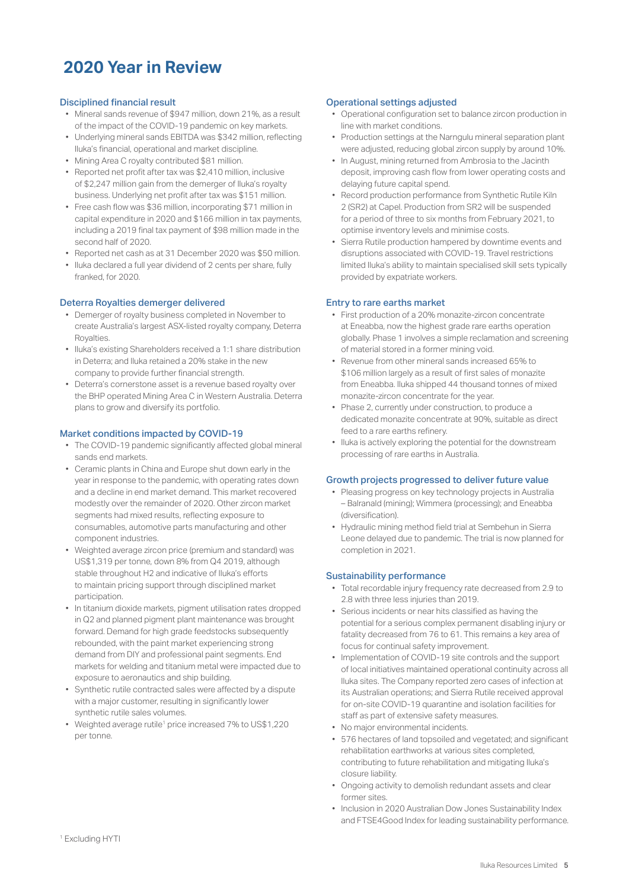## **2020 Year in Review**

### Disciplined financial result

- Mineral sands revenue of \$947 million, down 21%, as a result of the impact of the COVID-19 pandemic on key markets.
- Underlying mineral sands EBITDA was \$342 million, reflecting Iluka's financial, operational and market discipline.
- Mining Area C royalty contributed \$81 million.
- Reported net profit after tax was \$2,410 million, inclusive of \$2,247 million gain from the demerger of Iluka's royalty business. Underlying net profit after tax was \$151 million.
- Free cash flow was \$36 million, incorporating \$71 million in capital expenditure in 2020 and \$166 million in tax payments, including a 2019 final tax payment of \$98 million made in the second half of 2020.
- Reported net cash as at 31 December 2020 was \$50 million.
- Iluka declared a full year dividend of 2 cents per share, fully franked, for 2020.

## Deterra Royalties demerger delivered

- Demerger of royalty business completed in November to create Australia's largest ASX-listed royalty company, Deterra Royalties.
- Iluka's existing Shareholders received a 1:1 share distribution in Deterra; and Iluka retained a 20% stake in the new company to provide further financial strength.
- Deterra's cornerstone asset is a revenue based royalty over the BHP operated Mining Area C in Western Australia. Deterra plans to grow and diversify its portfolio.

## Market conditions impacted by COVID-19

- The COVID-19 pandemic significantly affected global mineral sands end markets.
- Ceramic plants in China and Europe shut down early in the year in response to the pandemic, with operating rates down and a decline in end market demand. This market recovered modestly over the remainder of 2020. Other zircon market segments had mixed results, reflecting exposure to consumables, automotive parts manufacturing and other component industries.
- Weighted average zircon price (premium and standard) was US\$1,319 per tonne, down 8% from Q4 2019, although stable throughout H2 and indicative of Iluka's efforts to maintain pricing support through disciplined market participation.
- In titanium dioxide markets, pigment utilisation rates dropped in Q2 and planned pigment plant maintenance was brought forward. Demand for high grade feedstocks subsequently rebounded, with the paint market experiencing strong demand from DIY and professional paint segments. End markets for welding and titanium metal were impacted due to exposure to aeronautics and ship building.
- Synthetic rutile contracted sales were affected by a dispute with a major customer, resulting in significantly lower synthetic rutile sales volumes.
- Weighted average rutile1 price increased 7% to US\$1,220 per tonne.

## Operational settings adjusted

- Operational configuration set to balance zircon production in line with market conditions.
- Production settings at the Narngulu mineral separation plant were adjusted, reducing global zircon supply by around 10%.
- In August, mining returned from Ambrosia to the Jacinth deposit, improving cash flow from lower operating costs and delaying future capital spend.
- Record production performance from Synthetic Rutile Kiln 2 (SR2) at Capel. Production from SR2 will be suspended for a period of three to six months from February 2021, to optimise inventory levels and minimise costs.
- Sierra Rutile production hampered by downtime events and disruptions associated with COVID-19. Travel restrictions limited Iluka's ability to maintain specialised skill sets typically provided by expatriate workers.

### Entry to rare earths market

- First production of a 20% monazite-zircon concentrate at Eneabba, now the highest grade rare earths operation globally. Phase 1 involves a simple reclamation and screening of material stored in a former mining void.
- Revenue from other mineral sands increased 65% to \$106 million largely as a result of first sales of monazite from Eneabba. Iluka shipped 44 thousand tonnes of mixed monazite-zircon concentrate for the year.
- Phase 2, currently under construction, to produce a dedicated monazite concentrate at 90%, suitable as direct feed to a rare earths refinery.
- Iluka is actively exploring the potential for the downstream processing of rare earths in Australia.

### Growth projects progressed to deliver future value

- Pleasing progress on key technology projects in Australia – Balranald (mining); Wimmera (processing); and Eneabba (diversification).
- Hydraulic mining method field trial at Sembehun in Sierra Leone delayed due to pandemic. The trial is now planned for completion in 2021.

#### Sustainability performance

- Total recordable injury frequency rate decreased from 2.9 to 2.8 with three less injuries than 2019.
- Serious incidents or near hits classified as having the potential for a serious complex permanent disabling injury or fatality decreased from 76 to 61. This remains a key area of focus for continual safety improvement.
- Implementation of COVID-19 site controls and the support of local initiatives maintained operational continuity across all Iluka sites. The Company reported zero cases of infection at its Australian operations; and Sierra Rutile received approval for on-site COVID-19 quarantine and isolation facilities for staff as part of extensive safety measures.
- No major environmental incidents.
- 576 hectares of land topsoiled and vegetated; and significant rehabilitation earthworks at various sites completed, contributing to future rehabilitation and mitigating Iluka's closure liability.
- Ongoing activity to demolish redundant assets and clear former sites.
- Inclusion in 2020 Australian Dow Jones Sustainability Index and FTSE4Good Index for leading sustainability performance.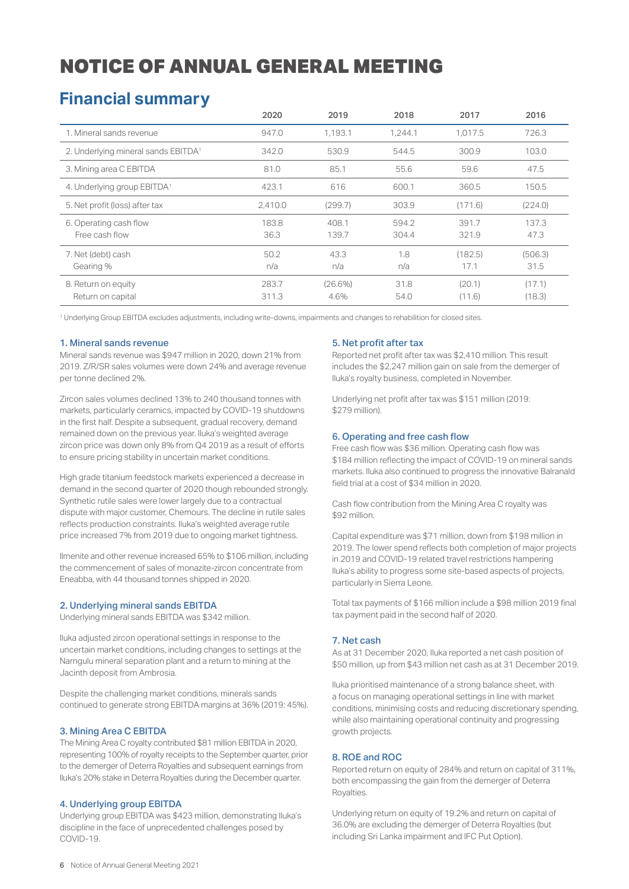## **Financial summary**

|                                          | 2020           | 2019               | 2018           | 2017             | 2016             |
|------------------------------------------|----------------|--------------------|----------------|------------------|------------------|
| 1. Mineral sands revenue                 | 947.0          | 1.193.1            | 1.244.1        | 1.017.5          | 726.3            |
| 2. Underlying mineral sands EBITDA1      | 342.0          | 530.9              | 544.5          | 300.9            | 103.0            |
| 3. Mining area C EBITDA                  | 81.0           | 85.1               | 55.6           | 59.6             | 47.5             |
| 4. Underlying group EBITDA <sup>1</sup>  | 423.1          | 616                | 600.1          | 360.5            | 150.5            |
| 5. Net profit (loss) after tax           | 2.410.0        | (299.7)            | 303.9          | (171.6)          | (224.0)          |
| 6. Operating cash flow<br>Free cash flow | 183.8<br>36.3  | 408.1<br>139.7     | 594.2<br>304.4 | 391.7<br>321.9   | 137.3<br>47.3    |
| 7. Net (debt) cash<br>Gearing %          | 50.2<br>n/a    | 43.3<br>n/a        | 1.8<br>n/a     | (182.5)<br>17.1  | (506.3)<br>31.5  |
| 8. Return on equity<br>Return on capital | 283.7<br>311.3 | $(26.6\%)$<br>4.6% | 31.8<br>54.0   | (20.1)<br>(11.6) | (17.1)<br>(18.3) |

1 Underlying Group EBITDA excludes adjustments, including write-downs, impairments and changes to rehabilition for closed sites.

### 1. Mineral sands revenue

Mineral sands revenue was \$947 million in 2020, down 21% from 2019. Z/R/SR sales volumes were down 24% and average revenue per tonne declined 2%.

Zircon sales volumes declined 13% to 240 thousand tonnes with markets, particularly ceramics, impacted by COVID-19 shutdowns in the first half. Despite a subsequent, gradual recovery, demand remained down on the previous year. Iluka's weighted average zircon price was down only 8% from Q4 2019 as a result of efforts to ensure pricing stability in uncertain market conditions.

High grade titanium feedstock markets experienced a decrease in demand in the second quarter of 2020 though rebounded strongly. Synthetic rutile sales were lower largely due to a contractual dispute with major customer, Chemours. The decline in rutile sales reflects production constraints. Iluka's weighted average rutile price increased 7% from 2019 due to ongoing market tightness.

Ilmenite and other revenue increased 65% to \$106 million, including the commencement of sales of monazite-zircon concentrate from Eneabba, with 44 thousand tonnes shipped in 2020.

### 2. Underlying mineral sands EBITDA

Underlying mineral sands EBITDA was \$342 million.

Iluka adjusted zircon operational settings in response to the uncertain market conditions, including changes to settings at the Narngulu mineral separation plant and a return to mining at the Jacinth deposit from Ambrosia.

Despite the challenging market conditions, minerals sands continued to generate strong EBITDA margins at 36% (2019: 45%).

#### 3. Mining Area C EBITDA

The Mining Area C royalty contributed \$81 million EBITDA in 2020, representing 100% of royalty receipts to the September quarter, prior to the demerger of Deterra Royalties and subsequent earnings from Iluka's 20% stake in Deterra Royalties during the December quarter.

### 4. Underlying group EBITDA

Underlying group EBITDA was \$423 million, demonstrating Iluka's discipline in the face of unprecedented challenges posed by COVID-19.

### 5. Net profit after tax

Reported net profit after tax was \$2,410 million. This result includes the \$2,247 million gain on sale from the demerger of Iluka's royalty business, completed in November.

Underlying net profit after tax was \$151 million (2019: \$279 million).

### 6. Operating and free cash flow

Free cash flow was \$36 million. Operating cash flow was \$184 million reflecting the impact of COVID-19 on mineral sands markets. Iluka also continued to progress the innovative Balranald field trial at a cost of \$34 million in 2020.

Cash flow contribution from the Mining Area C royalty was \$92 million.

Capital expenditure was \$71 million, down from \$198 million in 2019. The lower spend reflects both completion of major projects in 2019 and COVID-19 related travel restrictions hampering Iluka's ability to progress some site-based aspects of projects, particularly in Sierra Leone.

Total tax payments of \$166 million include a \$98 million 2019 final tax payment paid in the second half of 2020.

#### 7. Net cash

As at 31 December 2020, Iluka reported a net cash position of \$50 million, up from \$43 million net cash as at 31 December 2019.

Iluka prioritised maintenance of a strong balance sheet, with a focus on managing operational settings in line with market conditions, minimising costs and reducing discretionary spending, while also maintaining operational continuity and progressing growth projects.

#### 8. ROE and ROC

Reported return on equity of 284% and return on capital of 311%, both encompassing the gain from the demerger of Deterra Royalties.

Underlying return on equity of 19.2% and return on capital of 36.0% are excluding the demerger of Deterra Royalties (but including Sri Lanka impairment and IFC Put Option).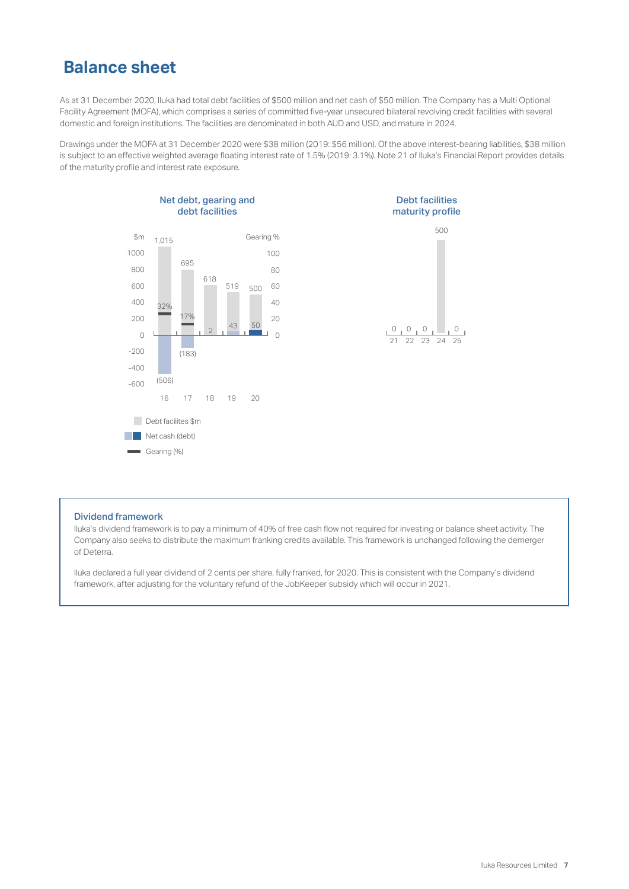## **Balance sheet**

As at 31 December 2020, Iluka had total debt facilities of \$500 million and net cash of \$50 million. The Company has a Multi Optional Facility Agreement (MOFA), which comprises a series of committed five-year unsecured bilateral revolving credit facilities with several domestic and foreign institutions. The facilities are denominated in both AUD and USD, and mature in 2024.

Drawings under the MOFA at 31 December 2020 were \$38 million (2019: \$56 million). Of the above interest-bearing liabilities, \$38 million is subject to an effective weighted average floating interest rate of 1.5% (2019: 3.1%). Note 21 of Iluka's Financial Report provides details of the maturity profile and interest rate exposure.





#### Dividend framework

lluka's dividend framework is to pay a minimum of 40% of free cash flow not required for investing or balance sheet activity. The Company also seeks to distribute the maximum franking credits available. This framework is unchanged following the demerger of Deterra.

Iluka declared a full year dividend of 2 cents per share, fully franked, for 2020. This is consistent with the Company's dividend framework, after adjusting for the voluntary refund of the JobKeeper subsidy which will occur in 2021.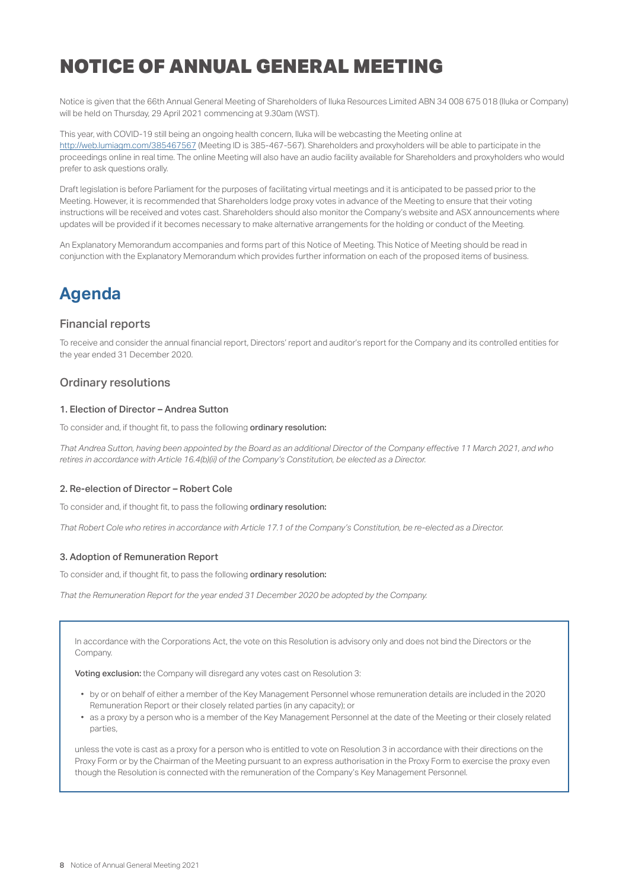Notice is given that the 66th Annual General Meeting of Shareholders of Iluka Resources Limited ABN 34 008 675 018 (Iluka or Company) will be held on Thursday, 29 April 2021 commencing at 9.30am (WST).

This year, with COVID-19 still being an ongoing health concern, Iluka will be webcasting the Meeting online at http://web.lumiagm.com/385467567 (Meeting ID is 385-467-567). Shareholders and proxyholders will be able to participate in the proceedings online in real time. The online Meeting will also have an audio facility available for Shareholders and proxyholders who would prefer to ask questions orally.

Draft legislation is before Parliament for the purposes of facilitating virtual meetings and it is anticipated to be passed prior to the Meeting. However, it is recommended that Shareholders lodge proxy votes in advance of the Meeting to ensure that their voting instructions will be received and votes cast. Shareholders should also monitor the Company's website and ASX announcements where updates will be provided if it becomes necessary to make alternative arrangements for the holding or conduct of the Meeting.

An Explanatory Memorandum accompanies and forms part of this Notice of Meeting. This Notice of Meeting should be read in conjunction with the Explanatory Memorandum which provides further information on each of the proposed items of business.

## **Agenda**

## Financial reports

To receive and consider the annual financial report, Directors' report and auditor's report for the Company and its controlled entities for the year ended 31 December 2020.

## Ordinary resolutions

### 1. Election of Director – Andrea Sutton

To consider and, if thought fit, to pass the following ordinary resolution:

*That Andrea Sutton, having been appointed by the Board as an additional Director of the Company eƬ ective 11 March 2021, and who retires in accordance with Article 16.4(b)(ii) of the Company's Constitution, be elected as a Director.*

### 2. Re-election of Director – Robert Cole

To consider and, if thought fit, to pass the following ordinary resolution:

*That Robert Cole who retires in accordance with Article 17.1 of the Company's Constitution, be re-elected as a Director.*

#### 3. Adoption of Remuneration Report

To consider and, if thought fit, to pass the following ordinary resolution:

*That the Remuneration Report for the year ended 31 December 2020 be adopted by the Company.*

In accordance with the Corporations Act, the vote on this Resolution is advisory only and does not bind the Directors or the Company.

Voting exclusion: the Company will disregard any votes cast on Resolution 3:

- by or on behalf of either a member of the Key Management Personnel whose remuneration details are included in the 2020 Remuneration Report or their closely related parties (in any capacity); or
- as a proxy by a person who is a member of the Key Management Personnel at the date of the Meeting or their closely related parties,

unless the vote is cast as a proxy for a person who is entitled to vote on Resolution 3 in accordance with their directions on the Proxy Form or by the Chairman of the Meeting pursuant to an express authorisation in the Proxy Form to exercise the proxy even though the Resolution is connected with the remuneration of the Company's Key Management Personnel.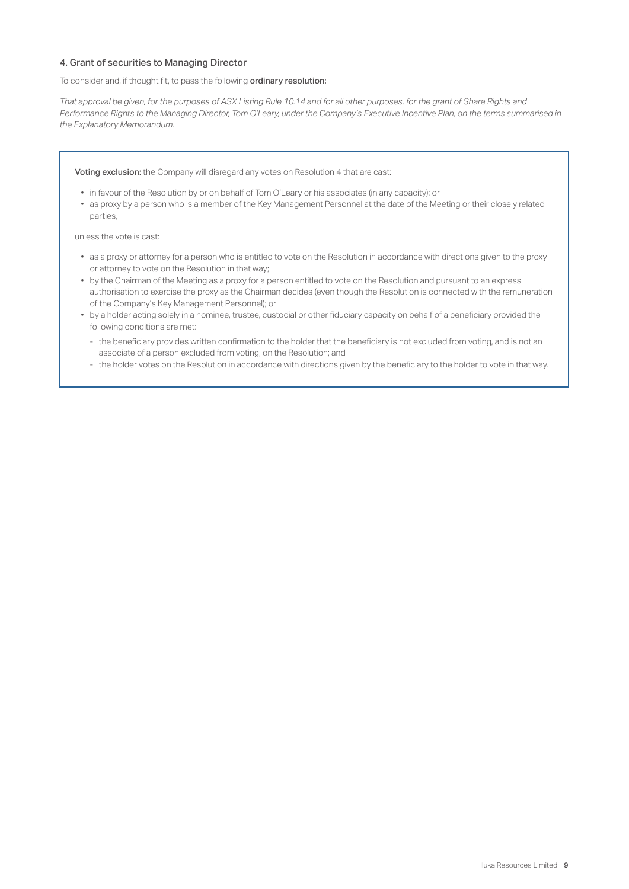### 4. Grant of securities to Managing Director

To consider and, if thought fit, to pass the following ordinary resolution:

*That approval be given, for the purposes of ASX Listing Rule 10.14 and for all other purposes, for the grant of Share Rights and Performance Rights to the Managing Director, Tom O'Leary, under the Company's Executive Incentive Plan, on the terms summarised in the Explanatory Memorandum.*

Voting exclusion: the Company will disregard any votes on Resolution 4 that are cast:

- in favour of the Resolution by or on behalf of Tom O'Leary or his associates (in any capacity); or
- as proxy by a person who is a member of the Key Management Personnel at the date of the Meeting or their closely related parties,

unless the vote is cast:

- as a proxy or attorney for a person who is entitled to vote on the Resolution in accordance with directions given to the proxy or attorney to vote on the Resolution in that way;
- by the Chairman of the Meeting as a proxy for a person entitled to vote on the Resolution and pursuant to an express authorisation to exercise the proxy as the Chairman decides (even though the Resolution is connected with the remuneration of the Company's Key Management Personnel); or
- by a holder acting solely in a nominee, trustee, custodial or other fiduciary capacity on behalf of a beneficiary provided the following conditions are met:
	- the beneficiary provides written confirmation to the holder that the beneficiary is not excluded from voting, and is not an associate of a person excluded from voting, on the Resolution; and
	- the holder votes on the Resolution in accordance with directions given by the beneficiary to the holder to vote in that way.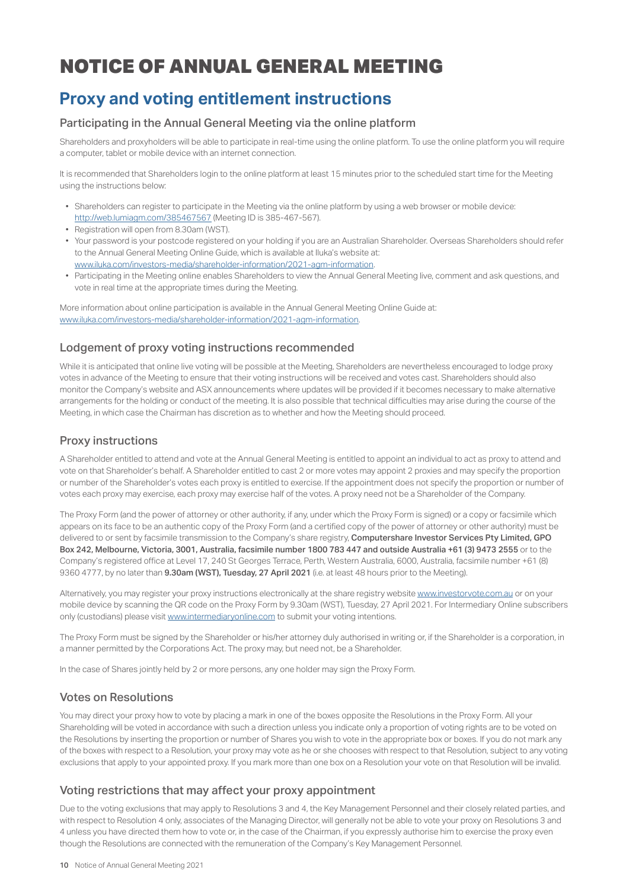## **Proxy and voting entitlement instructions**

## Participating in the Annual General Meeting via the online platform

Shareholders and proxyholders will be able to participate in real-time using the online platform. To use the online platform you will require a computer, tablet or mobile device with an internet connection.

It is recommended that Shareholders login to the online platform at least 15 minutes prior to the scheduled start time for the Meeting using the instructions below:

- Shareholders can register to participate in the Meeting via the online platform by using a web browser or mobile device: http://web.lumiagm.com/385467567 (Meeting ID is 385-467-567).
- Registration will open from 8.30am (WST).
- Your password is your postcode registered on your holding if you are an Australian Shareholder. Overseas Shareholders should refer to the Annual General Meeting Online Guide, which is available at Iluka's website at: www.iluka.com/investors-media/shareholder-information/2021-agm-information.
- Participating in the Meeting online enables Shareholders to view the Annual General Meeting live, comment and ask questions, and vote in real time at the appropriate times during the Meeting.

More information about online participation is available in the Annual General Meeting Online Guide at: www.iluka.com/investors-media/shareholder-information/2021-agm-information.

## Lodgement of proxy voting instructions recommended

While it is anticipated that online live voting will be possible at the Meeting, Shareholders are nevertheless encouraged to lodge proxy votes in advance of the Meeting to ensure that their voting instructions will be received and votes cast. Shareholders should also monitor the Company's website and ASX announcements where updates will be provided if it becomes necessary to make alternative arrangements for the holding or conduct of the meeting. It is also possible that technical difficulties may arise during the course of the Meeting, in which case the Chairman has discretion as to whether and how the Meeting should proceed.

## Proxy instructions

A Shareholder entitled to attend and vote at the Annual General Meeting is entitled to appoint an individual to act as proxy to attend and vote on that Shareholder's behalf. A Shareholder entitled to cast 2 or more votes may appoint 2 proxies and may specify the proportion or number of the Shareholder's votes each proxy is entitled to exercise. If the appointment does not specify the proportion or number of votes each proxy may exercise, each proxy may exercise half of the votes. A proxy need not be a Shareholder of the Company.

The Proxy Form (and the power of attorney or other authority, if any, under which the Proxy Form is signed) or a copy or facsimile which appears on its face to be an authentic copy of the Proxy Form (and a certified copy of the power of attorney or other authority) must be delivered to or sent by facsimile transmission to the Company's share registry, Computershare Investor Services Pty Limited, GPO Box 242, Melbourne, Victoria, 3001, Australia, facsimile number 1800 783 447 and outside Australia +61 (3) 9473 2555 or to the Company's registered office at Level 17, 240 St Georges Terrace, Perth, Western Australia, 6000, Australia, facsimile number +61 (8) 9360 4777, by no later than 9.30am (WST), Tuesday, 27 April 2021 (i.e. at least 48 hours prior to the Meeting).

Alternatively, you may register your proxy instructions electronically at the share registry website www.investorvote.com.au or on your mobile device by scanning the QR code on the Proxy Form by 9.30am (WST), Tuesday, 27 April 2021. For Intermediary Online subscribers only (custodians) please visit www.intermediaryonline.com to submit your voting intentions.

The Proxy Form must be signed by the Shareholder or his/her attorney duly authorised in writing or, if the Shareholder is a corporation, in a manner permitted by the Corporations Act. The proxy may, but need not, be a Shareholder.

In the case of Shares jointly held by 2 or more persons, any one holder may sign the Proxy Form.

## Votes on Resolutions

You may direct your proxy how to vote by placing a mark in one of the boxes opposite the Resolutions in the Proxy Form. All your Shareholding will be voted in accordance with such a direction unless you indicate only a proportion of voting rights are to be voted on the Resolutions by inserting the proportion or number of Shares you wish to vote in the appropriate box or boxes. If you do not mark any of the boxes with respect to a Resolution, your proxy may vote as he or she chooses with respect to that Resolution, subject to any voting exclusions that apply to your appointed proxy. If you mark more than one box on a Resolution your vote on that Resolution will be invalid.

## Voting restrictions that may affect your proxy appointment

Due to the voting exclusions that may apply to Resolutions 3 and 4, the Key Management Personnel and their closely related parties, and with respect to Resolution 4 only, associates of the Managing Director, will generally not be able to vote your proxy on Resolutions 3 and 4 unless you have directed them how to vote or, in the case of the Chairman, if you expressly authorise him to exercise the proxy even though the Resolutions are connected with the remuneration of the Company's Key Management Personnel.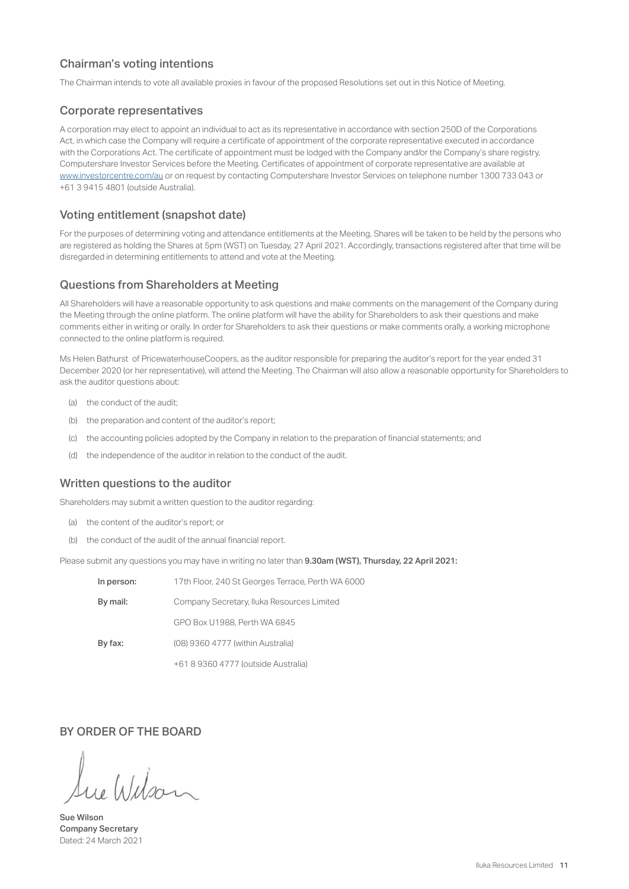## Chairman's voting intentions

The Chairman intends to vote all available proxies in favour of the proposed Resolutions set out in this Notice of Meeting.

### Corporate representatives

A corporation may elect to appoint an individual to act as its representative in accordance with section 250D of the Corporations Act, in which case the Company will require a certificate of appointment of the corporate representative executed in accordance with the Corporations Act. The certificate of appointment must be lodged with the Company and/or the Company's share registry, Computershare Investor Services before the Meeting. Certificates of appointment of corporate representative are available at www.investorcentre.com/au or on request by contacting Computershare Investor Services on telephone number 1300 733 043 or +61 3 9415 4801 (outside Australia).

## Voting entitlement (snapshot date)

For the purposes of determining voting and attendance entitlements at the Meeting, Shares will be taken to be held by the persons who are registered as holding the Shares at 5pm (WST) on Tuesday, 27 April 2021. Accordingly, transactions registered after that time will be disregarded in determining entitlements to attend and vote at the Meeting.

## Questions from Shareholders at Meeting

All Shareholders will have a reasonable opportunity to ask questions and make comments on the management of the Company during the Meeting through the online platform. The online platform will have the ability for Shareholders to ask their questions and make comments either in writing or orally. In order for Shareholders to ask their questions or make comments orally, a working microphone connected to the online platform is required.

Ms Helen Bathurst of PricewaterhouseCoopers, as the auditor responsible for preparing the auditor's report for the year ended 31 December 2020 (or her representative), will attend the Meeting. The Chairman will also allow a reasonable opportunity for Shareholders to ask the auditor questions about:

- (a) the conduct of the audit;
- (b) the preparation and content of the auditor's report;
- (c) the accounting policies adopted by the Company in relation to the preparation of financial statements; and
- (d) the independence of the auditor in relation to the conduct of the audit.

## Written questions to the auditor

Shareholders may submit a written question to the auditor regarding:

- (a) the content of the auditor's report; or
- $(b)$  the conduct of the audit of the annual financial report.

Please submit any questions you may have in writing no later than 9.30am (WST), Thursday, 22 April 2021:

| In person: | 17th Floor, 240 St Georges Terrace, Perth WA 6000 |
|------------|---------------------------------------------------|
| By mail:   | Company Secretary, Iluka Resources Limited        |
|            | GPO Box U1988. Perth WA 6845                      |
| By fax:    | (08) 9360 4777 (within Australia)                 |
|            | +61 8 9360 4777 (outside Australia)               |

## BY ORDER OF THE BOARD

Wilso

Sue Wilson Company Secretary Dated: 24 March 2021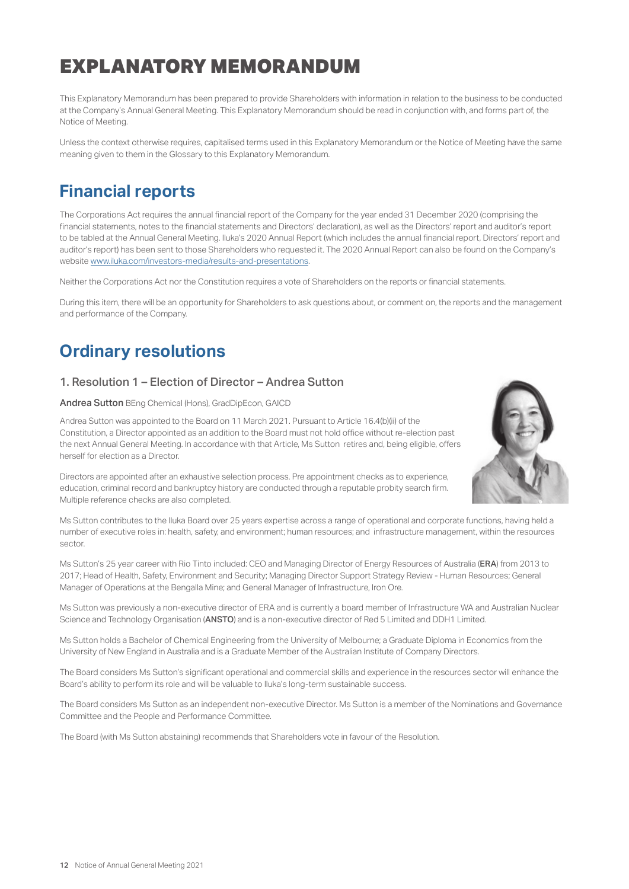# EXPLANATORY MEMORANDUM

This Explanatory Memorandum has been prepared to provide Shareholders with information in relation to the business to be conducted at the Company's Annual General Meeting. This Explanatory Memorandum should be read in conjunction with, and forms part of, the Notice of Meeting.

Unless the context otherwise requires, capitalised terms used in this Explanatory Memorandum or the Notice of Meeting have the same meaning given to them in the Glossary to this Explanatory Memorandum.

## **Financial reports**

The Corporations Act requires the annual financial report of the Company for the year ended 31 December 2020 (comprising the financial statements, notes to the financial statements and Directors' declaration), as well as the Directors' report and auditor's report to be tabled at the Annual General Meeting. Iluka's 2020 Annual Report (which includes the annual financial report, Directors' report and auditor's report) has been sent to those Shareholders who requested it. The 2020 Annual Report can also be found on the Company's website www.iluka.com/investors-media/results-and-presentations.

Neither the Corporations Act nor the Constitution requires a vote of Shareholders on the reports or financial statements.

During this item, there will be an opportunity for Shareholders to ask questions about, or comment on, the reports and the management and performance of the Company.

## **Ordinary resolutions**

## 1. Resolution 1 – Election of Director – Andrea Sutton

### Andrea Sutton BEng Chemical (Hons), GradDipEcon, GAICD

Andrea Sutton was appointed to the Board on 11 March 2021. Pursuant to Article 16.4(b)(ii) of the Constitution, a Director appointed as an addition to the Board must not hold office without re-election past the next Annual General Meeting. In accordance with that Article, Ms Sutton retires and, being eligible, offers herself for election as a Director.



Directors are appointed after an exhaustive selection process. Pre appointment checks as to experience, education, criminal record and bankruptcy history are conducted through a reputable probity search firm. Multiple reference checks are also completed.

Ms Sutton contributes to the Iluka Board over 25 years expertise across a range of operational and corporate functions, having held a number of executive roles in: health, safety, and environment; human resources; and infrastructure management, within the resources sector.

Ms Sutton's 25 year career with Rio Tinto included: CEO and Managing Director of Energy Resources of Australia (ERA) from 2013 to 2017; Head of Health, Safety, Environment and Security; Managing Director Support Strategy Review - Human Resources; General Manager of Operations at the Bengalla Mine; and General Manager of Infrastructure, Iron Ore.

Ms Sutton was previously a non-executive director of ERA and is currently a board member of Infrastructure WA and Australian Nuclear Science and Technology Organisation (ANSTO) and is a non-executive director of Red 5 Limited and DDH1 Limited.

Ms Sutton holds a Bachelor of Chemical Engineering from the University of Melbourne; a Graduate Diploma in Economics from the University of New England in Australia and is a Graduate Member of the Australian Institute of Company Directors.

The Board considers Ms Sutton's significant operational and commercial skills and experience in the resources sector will enhance the Board's ability to perform its role and will be valuable to Iluka's long-term sustainable success.

The Board considers Ms Sutton as an independent non-executive Director. Ms Sutton is a member of the Nominations and Governance Committee and the People and Performance Committee.

The Board (with Ms Sutton abstaining) recommends that Shareholders vote in favour of the Resolution.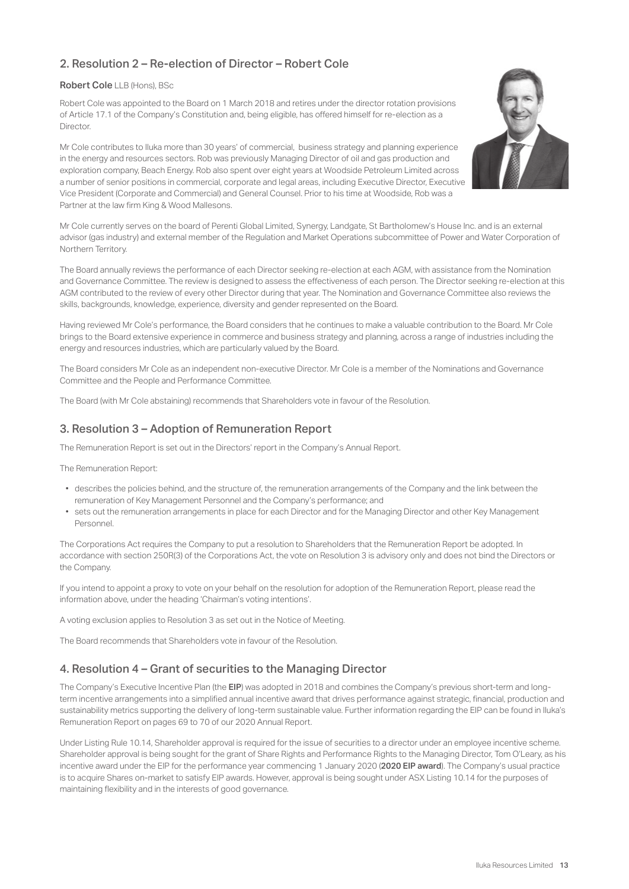## 2. Resolution 2 – Re-election of Director – Robert Cole

### Robert Cole LLB (Hons), BSc

Robert Cole was appointed to the Board on 1 March 2018 and retires under the director rotation provisions of Article 17.1 of the Company's Constitution and, being eligible, has offered himself for re-election as a **Director** 

Mr Cole contributes to Iluka more than 30 years' of commercial, business strategy and planning experience in the energy and resources sectors. Rob was previously Managing Director of oil and gas production and exploration company, Beach Energy. Rob also spent over eight years at Woodside Petroleum Limited across a number of senior positions in commercial, corporate and legal areas, including Executive Director, Executive Vice President (Corporate and Commercial) and General Counsel. Prior to his time at Woodside, Rob was a Partner at the law firm King & Wood Mallesons.



Mr Cole currently serves on the board of Perenti Global Limited, Synergy, Landgate, St Bartholomew's House Inc. and is an external advisor (gas industry) and external member of the Regulation and Market Operations subcommittee of Power and Water Corporation of Northern Territory.

The Board annually reviews the performance of each Director seeking re-election at each AGM, with assistance from the Nomination and Governance Committee. The review is designed to assess the effectiveness of each person. The Director seeking re-election at this AGM contributed to the review of every other Director during that year. The Nomination and Governance Committee also reviews the skills, backgrounds, knowledge, experience, diversity and gender represented on the Board.

Having reviewed Mr Cole's performance, the Board considers that he continues to make a valuable contribution to the Board. Mr Cole brings to the Board extensive experience in commerce and business strategy and planning, across a range of industries including the energy and resources industries, which are particularly valued by the Board.

The Board considers Mr Cole as an independent non-executive Director. Mr Cole is a member of the Nominations and Governance Committee and the People and Performance Committee.

The Board (with Mr Cole abstaining) recommends that Shareholders vote in favour of the Resolution.

## 3. Resolution 3 – Adoption of Remuneration Report

The Remuneration Report is set out in the Directors' report in the Company's Annual Report.

The Remuneration Report:

- describes the policies behind, and the structure of, the remuneration arrangements of the Company and the link between the remuneration of Key Management Personnel and the Company's performance; and
- sets out the remuneration arrangements in place for each Director and for the Managing Director and other Key Management Personnel.

The Corporations Act requires the Company to put a resolution to Shareholders that the Remuneration Report be adopted. In accordance with section 250R(3) of the Corporations Act, the vote on Resolution 3 is advisory only and does not bind the Directors or the Company.

If you intend to appoint a proxy to vote on your behalf on the resolution for adoption of the Remuneration Report, please read the information above, under the heading 'Chairman's voting intentions'.

A voting exclusion applies to Resolution 3 as set out in the Notice of Meeting.

The Board recommends that Shareholders vote in favour of the Resolution.

## 4. Resolution 4 – Grant of securities to the Managing Director

The Company's Executive Incentive Plan (the EIP) was adopted in 2018 and combines the Company's previous short-term and longterm incentive arrangements into a simplified annual incentive award that drives performance against strategic, financial, production and sustainability metrics supporting the delivery of long-term sustainable value. Further information regarding the EIP can be found in Iluka's Remuneration Report on pages 69 to 70 of our 2020 Annual Report.

Under Listing Rule 10.14, Shareholder approval is required for the issue of securities to a director under an employee incentive scheme. Shareholder approval is being sought for the grant of Share Rights and Performance Rights to the Managing Director, Tom O'Leary, as his incentive award under the EIP for the performance year commencing 1 January 2020 (2020 EIP award). The Company's usual practice is to acquire Shares on-market to satisfy EIP awards. However, approval is being sought under ASX Listing 10.14 for the purposes of maintaining flexibility and in the interests of good governance.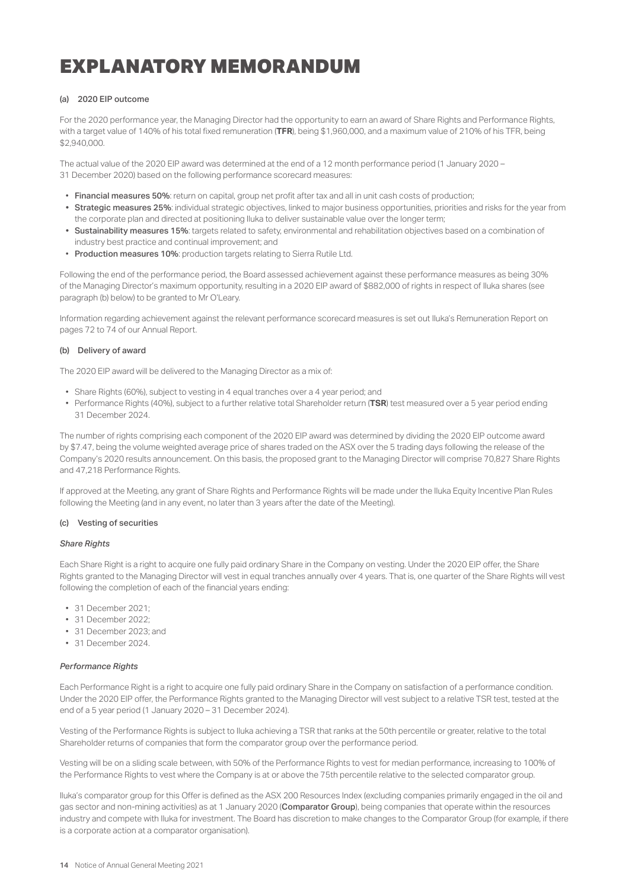## EXPLANATORY MEMORANDUM

#### (a) 2020 EIP outcome

For the 2020 performance year, the Managing Director had the opportunity to earn an award of Share Rights and Performance Rights, with a target value of 140% of his total fixed remuneration (TFR), being \$1,960,000, and a maximum value of 210% of his TFR, being \$2,940,000.

The actual value of the 2020 EIP award was determined at the end of a 12 month performance period (1 January 2020 – 31 December 2020) based on the following performance scorecard measures:

- Financial measures 50%; return on capital, group net profit after tax and all in unit cash costs of production:
- Strategic measures 25%: individual strategic objectives, linked to major business opportunities, priorities and risks for the year from the corporate plan and directed at positioning Iluka to deliver sustainable value over the longer term;
- Sustainability measures 15%: targets related to safety, environmental and rehabilitation objectives based on a combination of industry best practice and continual improvement; and
- Production measures 10%: production targets relating to Sierra Rutile Ltd.

Following the end of the performance period, the Board assessed achievement against these performance measures as being 30% of the Managing Director's maximum opportunity, resulting in a 2020 EIP award of \$882,000 of rights in respect of Iluka shares (see paragraph (b) below) to be granted to Mr O'Leary.

Information regarding achievement against the relevant performance scorecard measures is set out Iluka's Remuneration Report on pages 72 to 74 of our Annual Report.

#### (b) Delivery of award

The 2020 EIP award will be delivered to the Managing Director as a mix of:

- Share Rights (60%), subject to vesting in 4 equal tranches over a 4 year period; and
- Performance Rights (40%), subject to a further relative total Shareholder return (**TSR**) test measured over a 5 year period ending 31 December 2024.

The number of rights comprising each component of the 2020 EIP award was determined by dividing the 2020 EIP outcome award by \$7.47, being the volume weighted average price of shares traded on the ASX over the 5 trading days following the release of the Company's 2020 results announcement. On this basis, the proposed grant to the Managing Director will comprise 70,827 Share Rights and 47,218 Performance Rights.

If approved at the Meeting, any grant of Share Rights and Performance Rights will be made under the Iluka Equity Incentive Plan Rules following the Meeting (and in any event, no later than 3 years after the date of the Meeting).

#### (c) Vesting of securities

#### *Share Rights*

Each Share Right is a right to acquire one fully paid ordinary Share in the Company on vesting. Under the 2020 EIP offer, the Share Rights granted to the Managing Director will vest in equal tranches annually over 4 years. That is, one quarter of the Share Rights will vest following the completion of each of the financial years ending:

- 31 December 2021;
- 31 December 2022;
- 31 December 2023; and
- 31 December 2024.

#### *Performance Rights*

Each Performance Right is a right to acquire one fully paid ordinary Share in the Company on satisfaction of a performance condition. Under the 2020 EIP offer, the Performance Rights granted to the Managing Director will vest subject to a relative TSR test, tested at the end of a 5 year period (1 January 2020 – 31 December 2024).

Vesting of the Performance Rights is subject to Iluka achieving a TSR that ranks at the 50th percentile or greater, relative to the total Shareholder returns of companies that form the comparator group over the performance period.

Vesting will be on a sliding scale between, with 50% of the Performance Rights to vest for median performance, increasing to 100% of the Performance Rights to vest where the Company is at or above the 75th percentile relative to the selected comparator group.

lluka's comparator group for this Offer is defined as the ASX 200 Resources Index (excluding companies primarily engaged in the oil and gas sector and non-mining activities) as at 1 January 2020 (Comparator Group), being companies that operate within the resources industry and compete with Iluka for investment. The Board has discretion to make changes to the Comparator Group (for example, if there is a corporate action at a comparator organisation).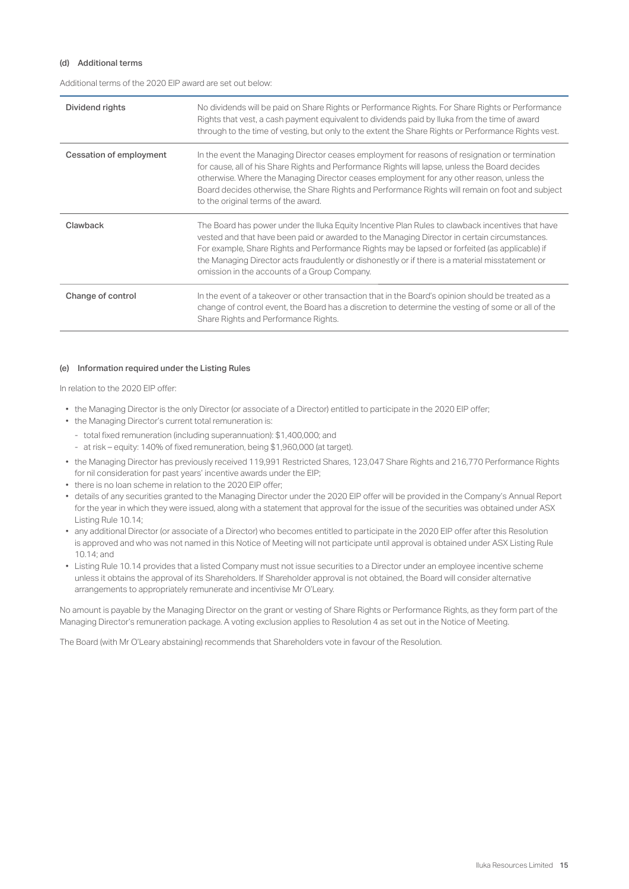### (d) Additional terms

Additional terms of the 2020 EIP award are set out below:

| Dividend rights                | No dividends will be paid on Share Rights or Performance Rights. For Share Rights or Performance<br>Rights that vest, a cash payment equivalent to dividends paid by lluka from the time of award<br>through to the time of vesting, but only to the extent the Share Rights or Performance Rights vest.                                                                                                                                               |
|--------------------------------|--------------------------------------------------------------------------------------------------------------------------------------------------------------------------------------------------------------------------------------------------------------------------------------------------------------------------------------------------------------------------------------------------------------------------------------------------------|
| <b>Cessation of employment</b> | In the event the Managing Director ceases employment for reasons of resignation or termination<br>for cause, all of his Share Rights and Performance Rights will lapse, unless the Board decides<br>otherwise. Where the Managing Director ceases employment for any other reason, unless the<br>Board decides otherwise, the Share Rights and Performance Rights will remain on foot and subject<br>to the original terms of the award.               |
| Clawback                       | The Board has power under the Iluka Equity Incentive Plan Rules to clawback incentives that have<br>vested and that have been paid or awarded to the Managing Director in certain circumstances.<br>For example, Share Rights and Performance Rights may be lapsed or forfeited (as applicable) if<br>the Managing Director acts fraudulently or dishonestly or if there is a material misstatement or<br>omission in the accounts of a Group Company. |
| Change of control              | In the event of a takeover or other transaction that in the Board's opinion should be treated as a<br>change of control event, the Board has a discretion to determine the vesting of some or all of the<br>Share Rights and Performance Rights.                                                                                                                                                                                                       |

#### (e) Information required under the Listing Rules

In relation to the 2020 EIP offer:

- the Managing Director is the only Director (or associate of a Director) entitled to participate in the 2020 EIP offer;
- the Managing Director's current total remuneration is:
	- total fixed remuneration (including superannuation): \$1,400,000; and
	- at risk equity: 140% of fixed remuneration, being \$1,960,000 (at target).
- the Managing Director has previously received 119,991 Restricted Shares, 123,047 Share Rights and 216,770 Performance Rights for nil consideration for past years' incentive awards under the EIP;
- there is no loan scheme in relation to the 2020 EIP offer;
- details of any securities granted to the Managing Director under the 2020 EIP offer will be provided in the Company's Annual Report for the year in which they were issued, along with a statement that approval for the issue of the securities was obtained under ASX Listing Rule 10.14;
- any additional Director (or associate of a Director) who becomes entitled to participate in the 2020 EIP offer after this Resolution is approved and who was not named in this Notice of Meeting will not participate until approval is obtained under ASX Listing Rule 10.14; and
- Listing Rule 10.14 provides that a listed Company must not issue securities to a Director under an employee incentive scheme unless it obtains the approval of its Shareholders. If Shareholder approval is not obtained, the Board will consider alternative arrangements to appropriately remunerate and incentivise Mr O'Leary.

No amount is payable by the Managing Director on the grant or vesting of Share Rights or Performance Rights, as they form part of the Managing Director's remuneration package. A voting exclusion applies to Resolution 4 as set out in the Notice of Meeting.

The Board (with Mr O'Leary abstaining) recommends that Shareholders vote in favour of the Resolution.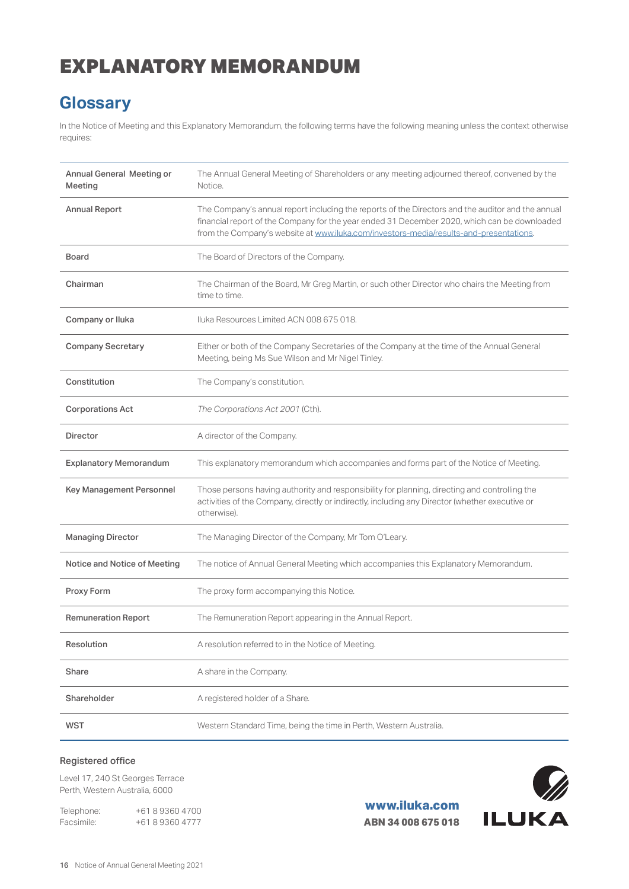# EXPLANATORY MEMORANDUM

## **Glossary**

In the Notice of Meeting and this Explanatory Memorandum, the following terms have the following meaning unless the context otherwise requires:

| Annual General Meeting or<br>Meeting | The Annual General Meeting of Shareholders or any meeting adjourned thereof, convened by the<br>Notice.                                                                                                                                                                                     |
|--------------------------------------|---------------------------------------------------------------------------------------------------------------------------------------------------------------------------------------------------------------------------------------------------------------------------------------------|
| <b>Annual Report</b>                 | The Company's annual report including the reports of the Directors and the auditor and the annual<br>financial report of the Company for the year ended 31 December 2020, which can be downloaded<br>from the Company's website at www.iluka.com/investors-media/results-and-presentations. |
| <b>Board</b>                         | The Board of Directors of the Company.                                                                                                                                                                                                                                                      |
| Chairman                             | The Chairman of the Board, Mr Greg Martin, or such other Director who chairs the Meeting from<br>time to time.                                                                                                                                                                              |
| Company or Iluka                     | Iluka Resources Limited ACN 008 675 018.                                                                                                                                                                                                                                                    |
| <b>Company Secretary</b>             | Either or both of the Company Secretaries of the Company at the time of the Annual General<br>Meeting, being Ms Sue Wilson and Mr Nigel Tinley.                                                                                                                                             |
| Constitution                         | The Company's constitution.                                                                                                                                                                                                                                                                 |
| <b>Corporations Act</b>              | The Corporations Act 2001 (Cth).                                                                                                                                                                                                                                                            |
| <b>Director</b>                      | A director of the Company.                                                                                                                                                                                                                                                                  |
| <b>Explanatory Memorandum</b>        | This explanatory memorandum which accompanies and forms part of the Notice of Meeting.                                                                                                                                                                                                      |
| Key Management Personnel             | Those persons having authority and responsibility for planning, directing and controlling the<br>activities of the Company, directly or indirectly, including any Director (whether executive or<br>otherwise).                                                                             |
| <b>Managing Director</b>             | The Managing Director of the Company, Mr Tom O'Leary.                                                                                                                                                                                                                                       |
| Notice and Notice of Meeting         | The notice of Annual General Meeting which accompanies this Explanatory Memorandum.                                                                                                                                                                                                         |
| Proxy Form                           | The proxy form accompanying this Notice.                                                                                                                                                                                                                                                    |
| <b>Remuneration Report</b>           | The Remuneration Report appearing in the Annual Report.                                                                                                                                                                                                                                     |
| Resolution                           | A resolution referred to in the Notice of Meeting.                                                                                                                                                                                                                                          |
| Share                                | A share in the Company.                                                                                                                                                                                                                                                                     |
| Shareholder                          | A registered holder of a Share.                                                                                                                                                                                                                                                             |
| <b>WST</b>                           | Western Standard Time, being the time in Perth, Western Australia.                                                                                                                                                                                                                          |

## Registered office

Level 17, 240 St Georges Terrace Perth, Western Australia, 6000

Telephone: +61 8 9360 4700 Facsimile: +61 8 9360 4777

**www.iluka.com ABN 34 008 675 018**

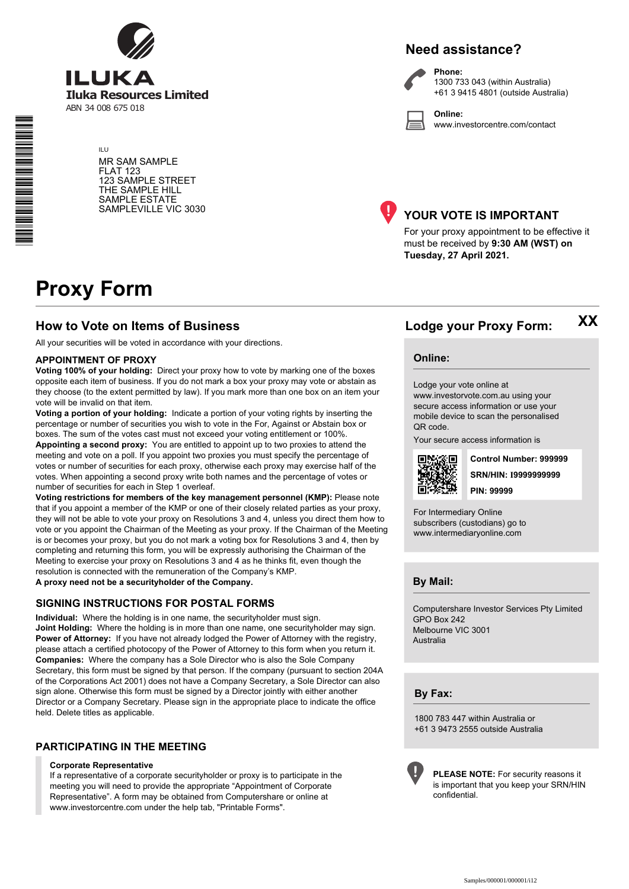

ILU MR SAM SAMPLE FLAT 123 123 SAMPLE STREET THE SAMPLE HILL SAMPLE ESTATE SAMPLEVILLE VIC 3030





**Phone:** 1300 733 043 (within Australia) +61 3 9415 4801 (outside Australia)

**Online:** www.investorcentre.com/contact



## **YOUR VOTE IS IMPORTANT**

For your proxy appointment to be effective it must be received by **9:30 AM (WST) on Tuesday, 27 April 2021.**

# **Proxy Form**

## **How to Vote on Items of Business Lodge your Proxy Form:**

All your securities will be voted in accordance with your directions.

#### **APPOINTMENT OF PROXY**

**Voting 100% of your holding:** Direct your proxy how to vote by marking one of the boxes opposite each item of business. If you do not mark a box your proxy may vote or abstain as they choose (to the extent permitted by law). If you mark more than one box on an item your vote will be invalid on that item.

**Voting a portion of your holding:** Indicate a portion of your voting rights by inserting the percentage or number of securities you wish to vote in the For, Against or Abstain box or boxes. The sum of the votes cast must not exceed your voting entitlement or 100%.

**Appointing a second proxy:** You are entitled to appoint up to two proxies to attend the meeting and vote on a poll. If you appoint two proxies you must specify the percentage of votes or number of securities for each proxy, otherwise each proxy may exercise half of the votes. When appointing a second proxy write both names and the percentage of votes or number of securities for each in Step 1 overleaf.

**Voting restrictions for members of the key management personnel (KMP):** Please note that if you appoint a member of the KMP or one of their closely related parties as your proxy, they will not be able to vote your proxy on Resolutions 3 and 4, unless you direct them how to vote or you appoint the Chairman of the Meeting as your proxy. If the Chairman of the Meeting is or becomes your proxy, but you do not mark a voting box for Resolutions 3 and 4, then by completing and returning this form, you will be expressly authorising the Chairman of the Meeting to exercise your proxy on Resolutions 3 and 4 as he thinks fit, even though the resolution is connected with the remuneration of the Company's KMP. **A proxy need not be a securityholder of the Company.**

#### **SIGNING INSTRUCTIONS FOR POSTAL FORMS**

**Individual:** Where the holding is in one name, the securityholder must sign. **Joint Holding:** Where the holding is in more than one name, one securityholder may sign. **Power of Attorney:** If you have not already lodged the Power of Attorney with the registry, please attach a certified photocopy of the Power of Attorney to this form when you return it. **Companies:** Where the company has a Sole Director who is also the Sole Company Secretary, this form must be signed by that person. If the company (pursuant to section 204A of the Corporations Act 2001) does not have a Company Secretary, a Sole Director can also sign alone. Otherwise this form must be signed by a Director jointly with either another Director or a Company Secretary. Please sign in the appropriate place to indicate the office held. Delete titles as applicable.

## **PARTICIPATING IN THE MEETING**

#### **Corporate Representative**

If a representative of a corporate securityholder or proxy is to participate in the meeting you will need to provide the appropriate "Appointment of Corporate Representative". A form may be obtained from Computershare or online at www.investorcentre.com under the help tab, "Printable Forms".

**Online:**

#### Lodge your vote online at

www.investorvote.com.au using your secure access information or use your mobile device to scan the personalised QR code.

Your secure access information is



**SRN/HIN: I9999999999 Control Number: 999999 PIN: 99999**

**XX**

For Intermediary Online subscribers (custodians) go to www.intermediaryonline.com

**By Mail:**

Computershare Investor Services Pty Limited GPO Box 242 Melbourne VIC 3001 Australia

**By Fax:**

1800 783 447 within Australia or +61 3 9473 2555 outside Australia



**PLEASE NOTE:** For security reasons it is important that you keep your SRN/HIN confidential.